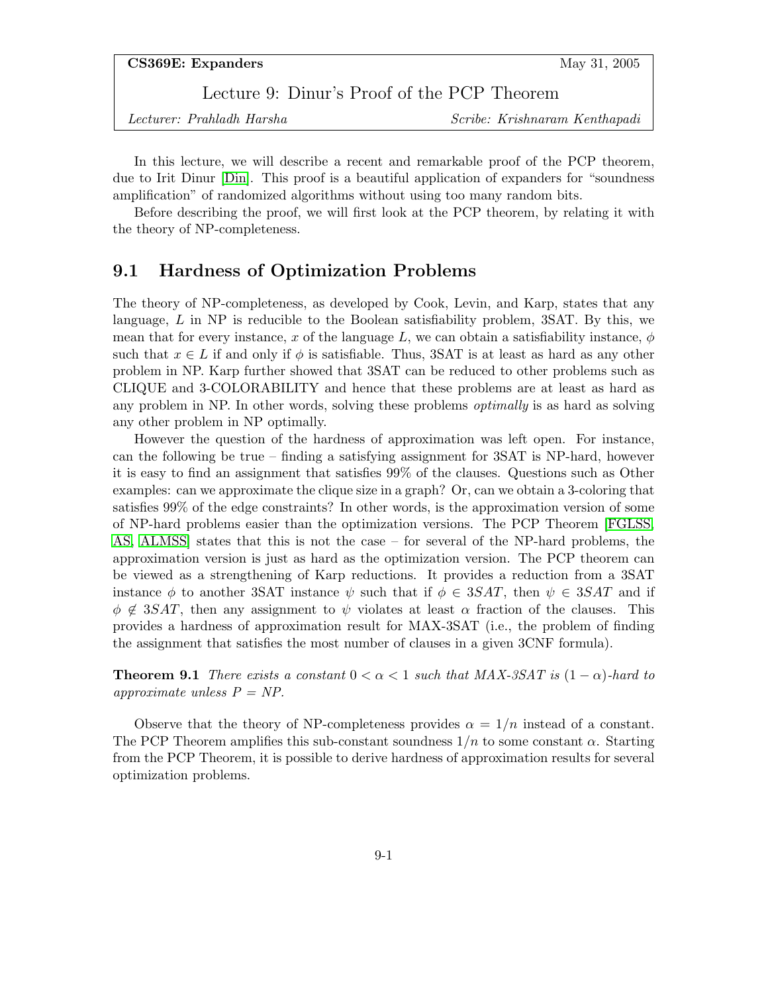Lecture 9: Dinur's Proof of the PCP Theorem

In this lecture, we will describe a recent and remarkable proof of the PCP theorem, due to Irit Dinur [\[Din\]](#page-10-0). This proof is a beautiful application of expanders for "soundness amplification" of randomized algorithms without using too many random bits.

Before describing the proof, we will first look at the PCP theorem, by relating it with the theory of NP-completeness.

## 9.1 Hardness of Optimization Problems

The theory of NP-completeness, as developed by Cook, Levin, and Karp, states that any language,  $L$  in NP is reducible to the Boolean satisfiability problem, 3SAT. By this, we mean that for every instance, x of the language L, we can obtain a satisfiability instance,  $\phi$ such that  $x \in L$  if and only if  $\phi$  is satisfiable. Thus, 3SAT is at least as hard as any other problem in NP. Karp further showed that 3SAT can be reduced to other problems such as CLIQUE and 3-COLORABILITY and hence that these problems are at least as hard as any problem in NP. In other words, solving these problems *optimally* is as hard as solving any other problem in NP optimally.

However the question of the hardness of approximation was left open. For instance, can the following be true – finding a satisfying assignment for  $3SAT$  is NP-hard, however it is easy to find an assignment that satisfies 99% of the clauses. Questions such as Other examples: can we approximate the clique size in a graph? Or, can we obtain a 3-coloring that satisfies 99% of the edge constraints? In other words, is the approximation version of some of NP-hard problems easier than the optimization versions. The PCP Theorem [\[FGLSS,](#page-10-1) [AS,](#page-10-2) [ALMSS\]](#page-10-3) states that this is not the case – for several of the NP-hard problems, the approximation version is just as hard as the optimization version. The PCP theorem can be viewed as a strengthening of Karp reductions. It provides a reduction from a 3SAT instance  $\phi$  to another 3SAT instance  $\psi$  such that if  $\phi \in 3SAT$ , then  $\psi \in 3SAT$  and if  $\phi \notin 3SAT$ , then any assignment to  $\psi$  violates at least  $\alpha$  fraction of the clauses. This provides a hardness of approximation result for MAX-3SAT (i.e., the problem of finding the assignment that satisfies the most number of clauses in a given 3CNF formula).

**Theorem 9.1** There exists a constant  $0 < \alpha < 1$  such that MAX-3SAT is  $(1 - \alpha)$ -hard to approximate unless  $P = NP$ .

Observe that the theory of NP-completeness provides  $\alpha = 1/n$  instead of a constant. The PCP Theorem amplifies this sub-constant soundness  $1/n$  to some constant  $\alpha$ . Starting from the PCP Theorem, it is possible to derive hardness of approximation results for several optimization problems.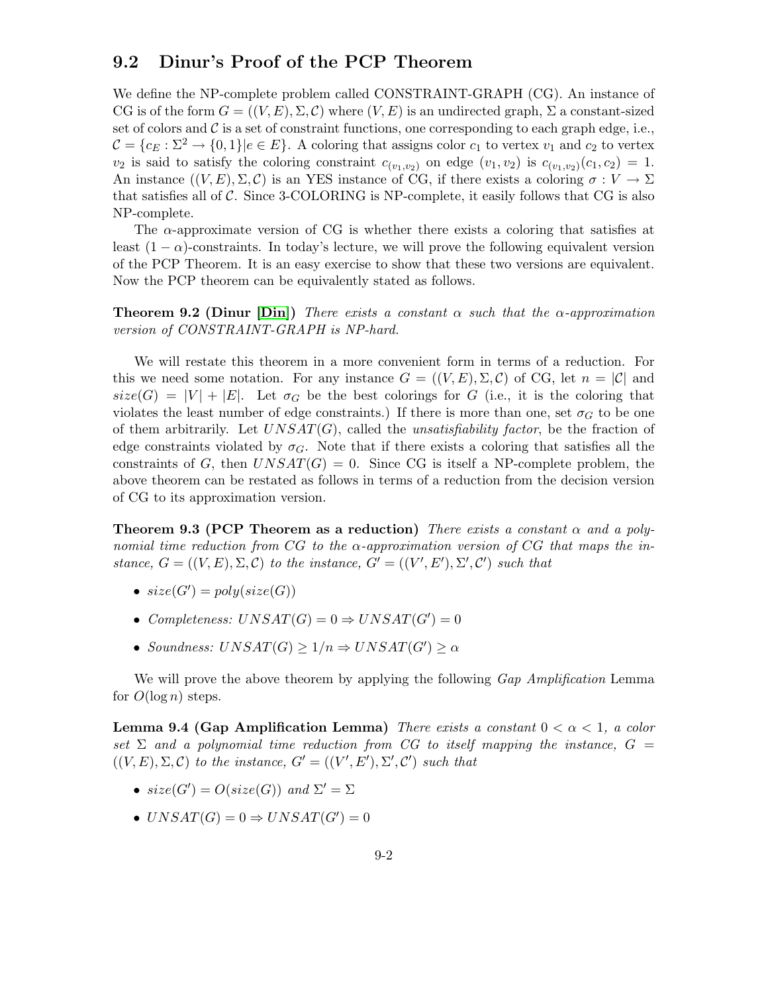## 9.2 Dinur's Proof of the PCP Theorem

We define the NP-complete problem called CONSTRAINT-GRAPH (CG). An instance of CG is of the form  $G = ((V, E), \Sigma, \mathcal{C})$  where  $(V, E)$  is an undirected graph,  $\Sigma$  a constant-sized set of colors and  $C$  is a set of constraint functions, one corresponding to each graph edge, i.e.,  $C = \{c_E : \Sigma^2 \to \{0,1\} | e \in E\}$ . A coloring that assigns color  $c_1$  to vertex  $v_1$  and  $c_2$  to vertex  $v_2$  is said to satisfy the coloring constraint  $c_{(v_1,v_2)}$  on edge  $(v_1, v_2)$  is  $c_{(v_1, v_2)}(c_1, c_2) = 1$ . An instance  $((V, E), \Sigma, \mathcal{C})$  is an YES instance of CG, if there exists a coloring  $\sigma : V \to \Sigma$ that satisfies all of  $\mathcal C$ . Since 3-COLORING is NP-complete, it easily follows that CG is also NP-complete.

The  $\alpha$ -approximate version of CG is whether there exists a coloring that satisfies at least  $(1 - \alpha)$ -constraints. In today's lecture, we will prove the following equivalent version of the PCP Theorem. It is an easy exercise to show that these two versions are equivalent. Now the PCP theorem can be equivalently stated as follows.

**Theorem 9.2 (Dinur [\[Din\]](#page-10-0))** There exists a constant  $\alpha$  such that the  $\alpha$ -approximation version of CONSTRAINT-GRAPH is NP-hard.

We will restate this theorem in a more convenient form in terms of a reduction. For this we need some notation. For any instance  $G = ((V, E), \Sigma, \mathcal{C})$  of CG, let  $n = |\mathcal{C}|$  and  $size(G) = |V| + |E|$ . Let  $\sigma_G$  be the best colorings for G (i.e., it is the coloring that violates the least number of edge constraints.) If there is more than one, set  $\sigma_G$  to be one of them arbitrarily. Let  $UNSAT(G)$ , called the *unsatisfiability factor*, be the fraction of edge constraints violated by  $\sigma_G$ . Note that if there exists a coloring that satisfies all the constraints of G, then  $UNSAT(G) = 0$ . Since CG is itself a NP-complete problem, the above theorem can be restated as follows in terms of a reduction from the decision version of CG to its approximation version.

<span id="page-1-0"></span>**Theorem 9.3 (PCP Theorem as a reduction)** There exists a constant  $\alpha$  and a polynomial time reduction from CG to the  $\alpha$ -approximation version of CG that maps the instance,  $G = ((V, E), \Sigma, \mathcal{C})$  to the instance,  $G' = ((V', E'), \Sigma', \mathcal{C}')$  such that

- $size(G') = poly(size(G))$
- Completeness:  $UNSAT(G) = 0 \Rightarrow UNSAT(G') = 0$
- Soundness:  $UNSAT(G) \geq 1/n \Rightarrow UNSAT(G') \geq \alpha$

We will prove the above theorem by applying the following Gap Amplification Lemma for  $O(\log n)$  steps.

<span id="page-1-1"></span>**Lemma 9.4 (Gap Amplification Lemma)** There exists a constant  $0 < \alpha < 1$ , a color set  $\Sigma$  and a polynomial time reduction from CG to itself mapping the instance,  $G =$  $((V, E), \Sigma, \mathcal{C})$  to the instance,  $G' = ((V', E'), \Sigma', \mathcal{C}')$  such that

- $size(G') = O(size(G))$  and  $\Sigma' = \Sigma$
- $UNSAT(G) = 0 \Rightarrow UNSAT(G') = 0$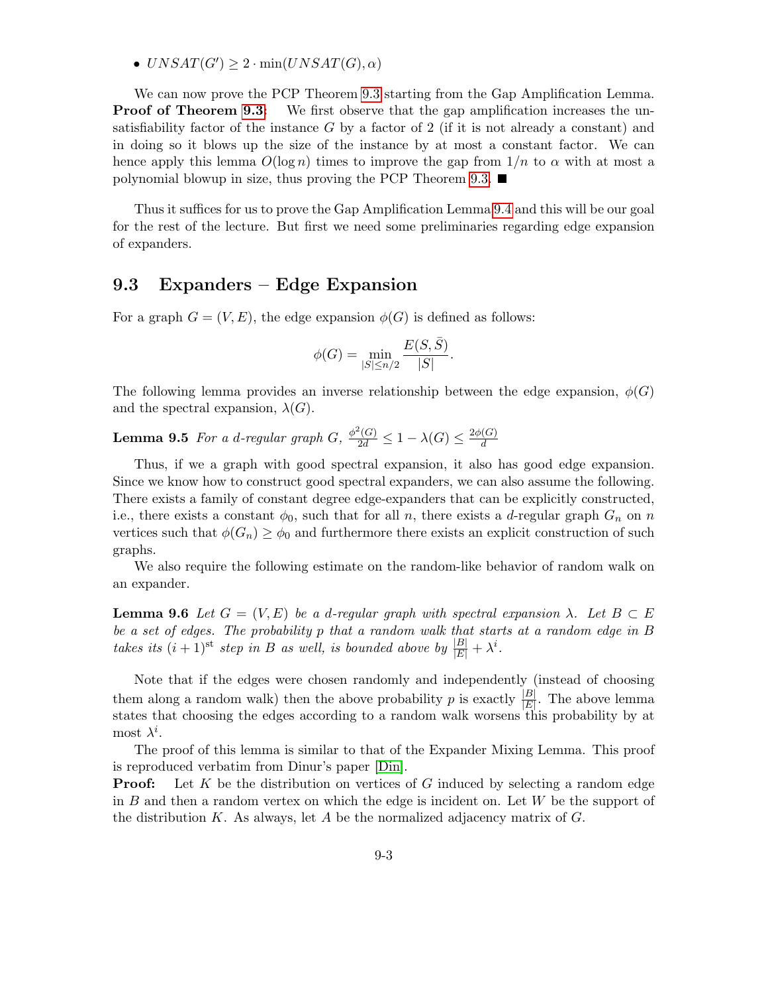•  $UNSAT(G') \geq 2 \cdot min(UNSAT(G), \alpha)$ 

We can now prove the PCP Theorem [9.3](#page-1-0) starting from the Gap Amplification Lemma. **Proof of Theorem [9.3:](#page-1-0)** We first observe that the gap amplification increases the unsatisfiability factor of the instance  $G$  by a factor of 2 (if it is not already a constant) and in doing so it blows up the size of the instance by at most a constant factor. We can hence apply this lemma  $O(\log n)$  times to improve the gap from  $1/n$  to  $\alpha$  with at most a polynomial blowup in size, thus proving the PCP Theorem [9.3.](#page-1-0)

Thus it suffices for us to prove the Gap Amplification Lemma [9.4](#page-1-1) and this will be our goal for the rest of the lecture. But first we need some preliminaries regarding edge expansion of expanders.

### 9.3 Expanders – Edge Expansion

For a graph  $G = (V, E)$ , the edge expansion  $\phi(G)$  is defined as follows:

<span id="page-2-0"></span>
$$
\phi(G) = \min_{|S| \le n/2} \frac{E(S, \bar{S})}{|S|}.
$$

The following lemma provides an inverse relationship between the edge expansion,  $\phi(G)$ and the spectral expansion,  $\lambda(G)$ .

**Lemma 9.5** For a d-regular graph  $G$ ,  $\frac{\phi^2(G)}{2d} \leq 1 - \lambda(G) \leq \frac{2\phi(G)}{d}$ d

Thus, if we a graph with good spectral expansion, it also has good edge expansion. Since we know how to construct good spectral expanders, we can also assume the following. There exists a family of constant degree edge-expanders that can be explicitly constructed, i.e., there exists a constant  $\phi_0$ , such that for all n, there exists a d-regular graph  $G_n$  on n vertices such that  $\phi(G_n) \geq \phi_0$  and furthermore there exists an explicit construction of such graphs.

We also require the following estimate on the random-like behavior of random walk on an expander.

<span id="page-2-1"></span>**Lemma 9.6** Let  $G = (V, E)$  be a d-regular graph with spectral expansion  $\lambda$ . Let  $B \subset E$ be a set of edges. The probability p that a random walk that starts at a random edge in B takes its  $(i + 1)$ <sup>st</sup> step in B as well, is bounded above by  $\frac{|B|}{|E|} + \lambda^i$ .

Note that if the edges were chosen randomly and independently (instead of choosing them along a random walk) then the above probability p is exactly  $\frac{|B|}{|E|}$ . The above lemma states that choosing the edges according to a random walk worsens this probability by at most  $\lambda^i$ .

The proof of this lemma is similar to that of the Expander Mixing Lemma. This proof is reproduced verbatim from Dinur's paper [\[Din\]](#page-10-0).

**Proof:** Let K be the distribution on vertices of G induced by selecting a random edge in  $B$  and then a random vertex on which the edge is incident on. Let  $W$  be the support of the distribution K. As always, let A be the normalized adjacency matrix of  $G$ .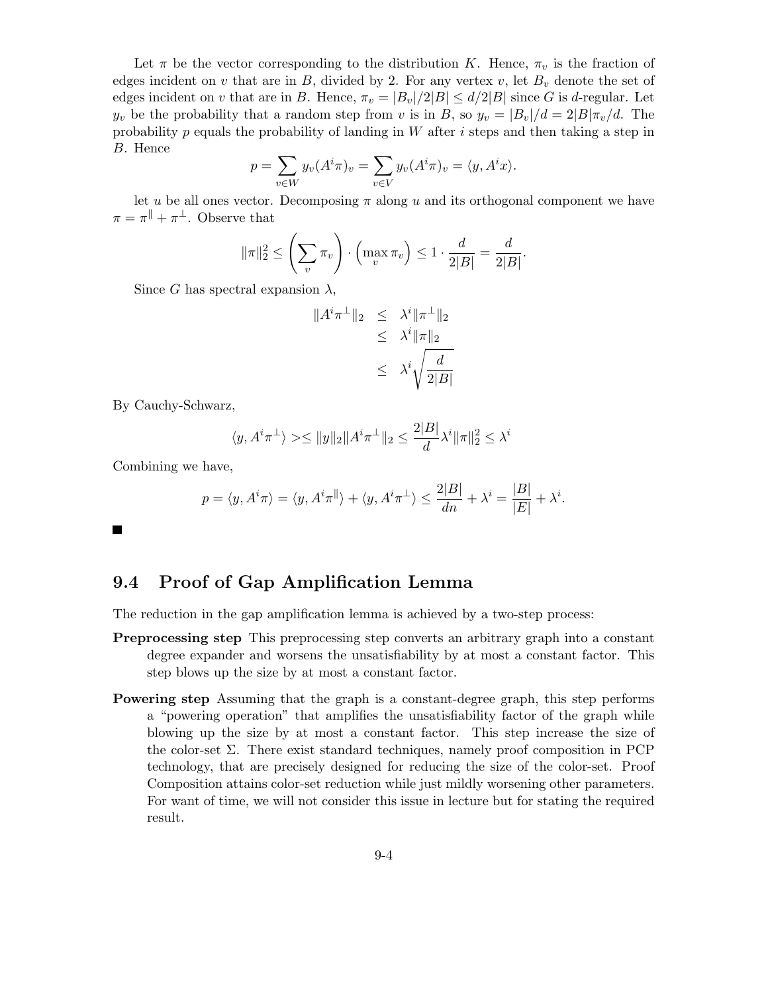Let  $\pi$  be the vector corresponding to the distribution K. Hence,  $\pi_v$  is the fraction of edges incident on v that are in B, divided by 2. For any vertex v, let  $B<sub>v</sub>$  denote the set of edges incident on v that are in B. Hence,  $\pi_v = |B_v|/2|B| \le d/2|B|$  since G is d-regular. Let  $y_v$  be the probability that a random step from v is in B, so  $y_v = |B_v|/d = 2|B|\pi_v/d$ . The probability p equals the probability of landing in W after i steps and then taking a step in B. Hence

$$
p = \sum_{v \in W} y_v (A^i \pi)_v = \sum_{v \in V} y_v (A^i \pi)_v = \langle y, A^i x \rangle.
$$

let u be all ones vector. Decomposing  $\pi$  along u and its orthogonal component we have  $\pi = \pi^{\parallel} + \pi^{\perp}$ . Observe that

$$
\|\pi\|_2^2 \le \left(\sum_v \pi_v\right) \cdot \left(\max_v \pi_v\right) \le 1 \cdot \frac{d}{2|B|} = \frac{d}{2|B|}.
$$

Since G has spectral expansion  $\lambda$ ,

$$
||Ai \pi\perp||_2 \leq \lambdai ||\pi\perp||_2
$$
  
\n
$$
\leq \lambdai ||\pi||_2
$$
  
\n
$$
\leq \lambdai \sqrt{\frac{d}{2|B|}}
$$

By Cauchy-Schwarz,

$$
\langle y, A^i \pi^\perp \rangle \ge \|\|y\|_2 \|A^i \pi^\perp\|_2 \le \frac{2|B|}{d} \lambda^i \|\pi\|_2^2 \le \lambda^i
$$

Combining we have,

$$
p = \langle y, A^i \pi \rangle = \langle y, A^i \pi \mathbb{I} \rangle + \langle y, A^i \pi \mathbb{I} \rangle \le \frac{2|B|}{dn} + \lambda^i = \frac{|B|}{|E|} + \lambda^i.
$$

 $\blacksquare$ 

## 9.4 Proof of Gap Amplification Lemma

The reduction in the gap amplification lemma is achieved by a two-step process:

- Preprocessing step This preprocessing step converts an arbitrary graph into a constant degree expander and worsens the unsatisfiability by at most a constant factor. This step blows up the size by at most a constant factor.
- Powering step Assuming that the graph is a constant-degree graph, this step performs a "powering operation" that amplifies the unsatisfiability factor of the graph while blowing up the size by at most a constant factor. This step increase the size of the color-set  $\Sigma$ . There exist standard techniques, namely proof composition in PCP technology, that are precisely designed for reducing the size of the color-set. Proof Composition attains color-set reduction while just mildly worsening other parameters. For want of time, we will not consider this issue in lecture but for stating the required result.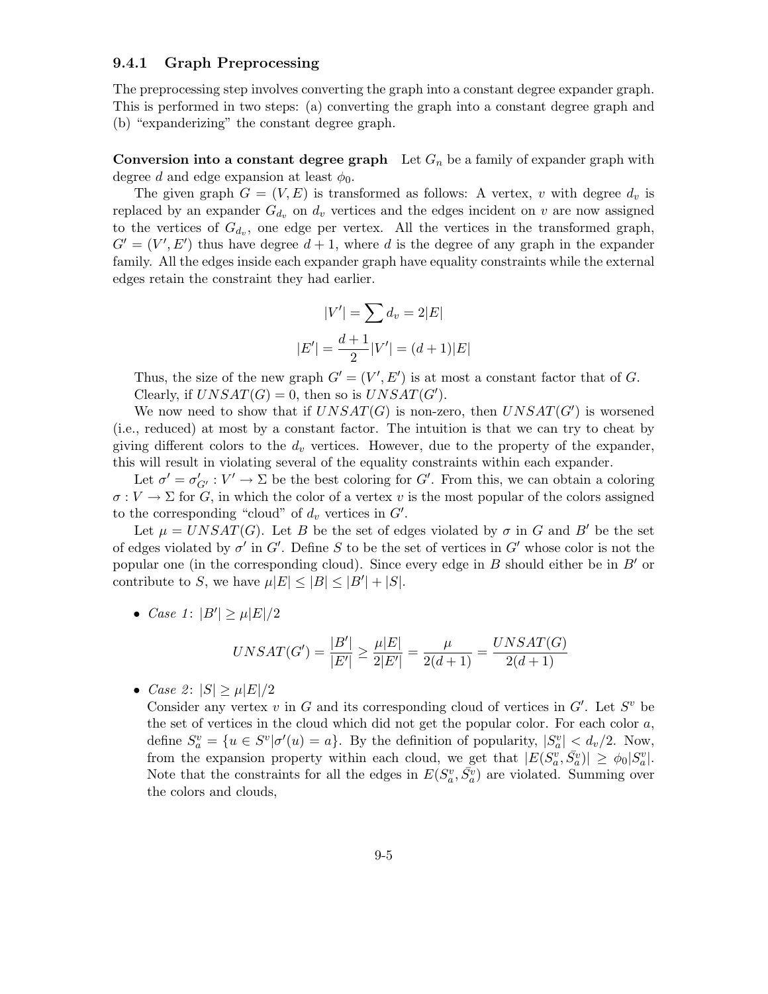#### 9.4.1 Graph Preprocessing

The preprocessing step involves converting the graph into a constant degree expander graph. This is performed in two steps: (a) converting the graph into a constant degree graph and (b) "expanderizing" the constant degree graph.

**Conversion into a constant degree graph** Let  $G_n$  be a family of expander graph with degree d and edge expansion at least  $\phi_0$ .

The given graph  $G = (V, E)$  is transformed as follows: A vertex, v with degree  $d_v$  is replaced by an expander  $G_{d_v}$  on  $d_v$  vertices and the edges incident on v are now assigned to the vertices of  $G_{d_v}$ , one edge per vertex. All the vertices in the transformed graph,  $G' = (V', E')$  thus have degree  $d + 1$ , where d is the degree of any graph in the expander family. All the edges inside each expander graph have equality constraints while the external edges retain the constraint they had earlier.

$$
|V'| = \sum d_v = 2|E|
$$
  

$$
|E'| = \frac{d+1}{2}|V'| = (d+1)|E|
$$

Thus, the size of the new graph  $G' = (V', E')$  is at most a constant factor that of G. Clearly, if  $UNSAT(G) = 0$ , then so is  $UNSAT(G')$ .

We now need to show that if  $UNSAT(G)$  is non-zero, then  $UNSAT(G')$  is worsened (i.e., reduced) at most by a constant factor. The intuition is that we can try to cheat by giving different colors to the  $d<sub>v</sub>$  vertices. However, due to the property of the expander, this will result in violating several of the equality constraints within each expander.

Let  $\sigma' = \sigma'_{G'} : V' \to \Sigma$  be the best coloring for G'. From this, we can obtain a coloring  $\sigma: V \to \Sigma$  for G, in which the color of a vertex v is the most popular of the colors assigned to the corresponding "cloud" of  $d_v$  vertices in  $G'$ .

Let  $\mu = UNSAT(G)$ . Let B be the set of edges violated by  $\sigma$  in G and B' be the set of edges violated by  $\sigma'$  in G'. Define S to be the set of vertices in G' whose color is not the popular one (in the corresponding cloud). Since every edge in  $B$  should either be in  $B'$  or contribute to S, we have  $\mu |E| \leq |B| \leq |B'| + |S|$ .

• *Case 1*:  $|B'| \ge \mu |E|/2$ 

$$
UNSAT(G') = \frac{|B'|}{|E'|} \ge \frac{\mu|E|}{2|E'|} = \frac{\mu}{2(d+1)} = \frac{UNSAT(G)}{2(d+1)}
$$

• *Case 2*:  $|S| \ge \mu |E|/2$ 

Consider any vertex  $v$  in  $G$  and its corresponding cloud of vertices in  $G'$ . Let  $S<sup>v</sup>$  be the set of vertices in the cloud which did not get the popular color. For each color  $a$ , define  $S_a^v = \{u \in S^v | \sigma'(u) = a\}$ . By the definition of popularity,  $|S_a^v| < d_v/2$ . Now, from the expansion property within each cloud, we get that  $|E(S_a^v, \bar{S}_a^v)| \geq \phi_0 |S_a^v|$ . Note that the constraints for all the edges in  $E(S_a^v, \bar{S}_a^v)$  are violated. Summing over the colors and clouds,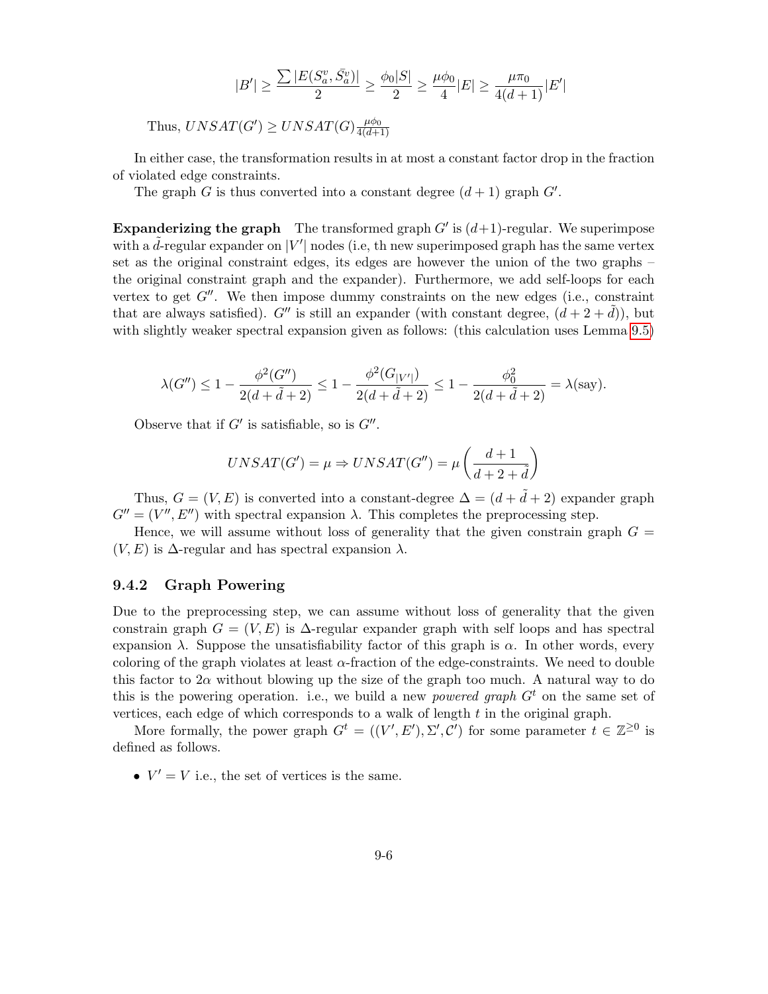$$
|B'| \ge \frac{\sum |E(S_a^v, \bar{S}_a^v)|}{2} \ge \frac{\phi_0|S|}{2} \ge \frac{\mu \phi_0}{4}|E| \ge \frac{\mu \pi_0}{4(d+1)}|E'|
$$

Thus,  $UNSAT(G') \geq UNSAT(G) \frac{\mu \phi_0}{4(d+1)}$  $4(d+1)$ 

In either case, the transformation results in at most a constant factor drop in the fraction of violated edge constraints.

The graph G is thus converted into a constant degree  $(d+1)$  graph  $G'$ .

**Expanderizing the graph** The transformed graph  $G'$  is  $(d+1)$ -regular. We superimpose with a  $\tilde{d}$ -regular expander on  $|V'|$  nodes (i.e, th new superimposed graph has the same vertex set as the original constraint edges, its edges are however the union of the two graphs – the original constraint graph and the expander). Furthermore, we add self-loops for each vertex to get  $G''$ . We then impose dummy constraints on the new edges (i.e., constraint that are always satisfied).  $G''$  is still an expander (with constant degree,  $(d+2+\tilde{d})$ ), but with slightly weaker spectral expansion given as follows: (this calculation uses Lemma [9.5\)](#page-2-0)

$$
\lambda(G'') \le 1 - \frac{\phi^2(G'')}{2(d + \tilde{d} + 2)} \le 1 - \frac{\phi^2(G_{|V'|})}{2(d + \tilde{d} + 2)} \le 1 - \frac{\phi_0^2}{2(d + \tilde{d} + 2)} = \lambda(\text{say}).
$$

Observe that if  $G'$  is satisfiable, so is  $G''$ .

$$
UNSAT(G') = \mu \Rightarrow UNSAT(G'') = \mu \left( \frac{d+1}{d+2+\tilde{d}} \right)
$$

Thus,  $G = (V, E)$  is converted into a constant-degree  $\Delta = (d + \tilde{d} + 2)$  expander graph  $G'' = (V'', E'')$  with spectral expansion  $\lambda$ . This completes the preprocessing step.

Hence, we will assume without loss of generality that the given constrain graph  $G =$  $(V, E)$  is  $\Delta$ -regular and has spectral expansion  $\lambda$ .

#### 9.4.2 Graph Powering

Due to the preprocessing step, we can assume without loss of generality that the given constrain graph  $G = (V, E)$  is  $\Delta$ -regular expander graph with self loops and has spectral expansion  $\lambda$ . Suppose the unsatisfiability factor of this graph is  $\alpha$ . In other words, every coloring of the graph violates at least  $\alpha$ -fraction of the edge-constraints. We need to double this factor to  $2\alpha$  without blowing up the size of the graph too much. A natural way to do this is the powering operation. i.e., we build a new *powered graph*  $G<sup>t</sup>$  on the same set of vertices, each edge of which corresponds to a walk of length  $t$  in the original graph.

More formally, the power graph  $G^t = ((V', E'), \Sigma', C')$  for some parameter  $t \in \mathbb{Z}^{\geq 0}$  is defined as follows.

•  $V' = V$  i.e., the set of vertices is the same.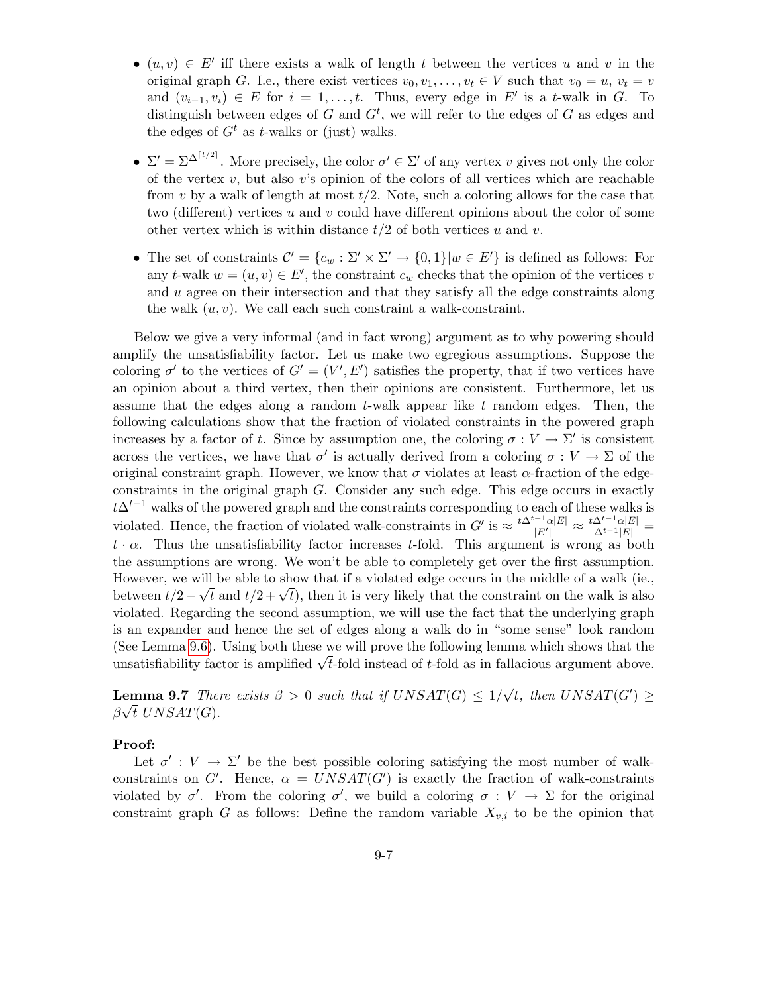- $(u, v) \in E'$  iff there exists a walk of length t between the vertices u and v in the original graph G. I.e., there exist vertices  $v_0, v_1, \ldots, v_t \in V$  such that  $v_0 = u$ ,  $v_t = v$ and  $(v_{i-1}, v_i) \in E$  for  $i = 1, \ldots, t$ . Thus, every edge in  $E'$  is a t-walk in G. To distinguish between edges of G and  $G<sup>t</sup>$ , we will refer to the edges of G as edges and the edges of  $G<sup>t</sup>$  as t-walks or (just) walks.
- $\Sigma' = \Sigma^{\Delta^{\lceil t/2 \rceil}}$ . More precisely, the color  $\sigma' \in \Sigma'$  of any vertex v gives not only the color of the vertex  $v$ , but also  $v$ 's opinion of the colors of all vertices which are reachable from v by a walk of length at most  $t/2$ . Note, such a coloring allows for the case that two (different) vertices  $u$  and  $v$  could have different opinions about the color of some other vertex which is within distance  $t/2$  of both vertices u and v.
- The set of constraints  $\mathcal{C}' = \{c_w : \Sigma' \times \Sigma' \to \{0,1\} | w \in E' \}$  is defined as follows: For any t-walk  $w = (u, v) \in E'$ , the constraint  $c_w$  checks that the opinion of the vertices v and  $u$  agree on their intersection and that they satisfy all the edge constraints along the walk  $(u, v)$ . We call each such constraint a walk-constraint.

Below we give a very informal (and in fact wrong) argument as to why powering should amplify the unsatisfiability factor. Let us make two egregious assumptions. Suppose the coloring  $\sigma'$  to the vertices of  $G' = (V', E')$  satisfies the property, that if two vertices have an opinion about a third vertex, then their opinions are consistent. Furthermore, let us assume that the edges along a random  $t$ -walk appear like  $t$  random edges. Then, the following calculations show that the fraction of violated constraints in the powered graph increases by a factor of t. Since by assumption one, the coloring  $\sigma: V \to \Sigma'$  is consistent across the vertices, we have that  $\sigma'$  is actually derived from a coloring  $\sigma: V \to \Sigma$  of the original constraint graph. However, we know that  $\sigma$  violates at least  $\alpha$ -fraction of the edgeconstraints in the original graph G. Consider any such edge. This edge occurs in exactly  $t\Delta^{t-1}$  walks of the powered graph and the constraints corresponding to each of these walks is violated. Hence, the fraction of violated walk-constraints in  $G'$  is  $\approx \frac{t\Delta^{t-1}\alpha|E|}{|E'|}$  $\frac{e^{-1}\alpha|E|}{|E'|}\approx \frac{t\Delta^{t-1}\alpha|E|}{\Delta^{t-1}|E|}=$  $t \cdot \alpha$ . Thus the unsatisfiability factor increases t-fold. This argument is wrong as both the assumptions are wrong. We won't be able to completely get over the first assumption. However, we will be able to show that if a violated edge occurs in the middle of a walk (ie., however, we will be able to show that if a violated edge occurs in the initiate of a walk (ie., between  $t/2 - \sqrt{t}$  and  $t/2 + \sqrt{t}$ ), then it is very likely that the constraint on the walk is also violated. Regarding the second assumption, we will use the fact that the underlying graph is an expander and hence the set of edges along a walk do in "some sense" look random (See Lemma [9.6\)](#page-2-1). Using both these we will prove the following lemma which shows that the (see Lemma 9.0). Using both these we will prove the following lemma which shows that the unsatisfiability factor is amplified  $\sqrt{t}$ -fold instead of t-fold as in fallacious argument above.

<span id="page-6-0"></span>**Lemma 9.7** There exists  $\beta > 0$  such that if  $UNSAT(G) \leq 1/$ emma 9.7 There exists  $\beta > 0$  such that if  $UNSAT(G) \leq 1/\sqrt{t}$ , then  $UNSAT(G') \geq$  $\beta\sqrt{t}$  UNSAT(G).

#### Proof:

Let  $\sigma' : V \to \Sigma'$  be the best possible coloring satisfying the most number of walkconstraints on G'. Hence,  $\alpha = UNSAT(G')$  is exactly the fraction of walk-constraints violated by  $\sigma'$ . From the coloring  $\sigma'$ , we build a coloring  $\sigma: V \to \Sigma$  for the original constraint graph G as follows: Define the random variable  $X_{v,i}$  to be the opinion that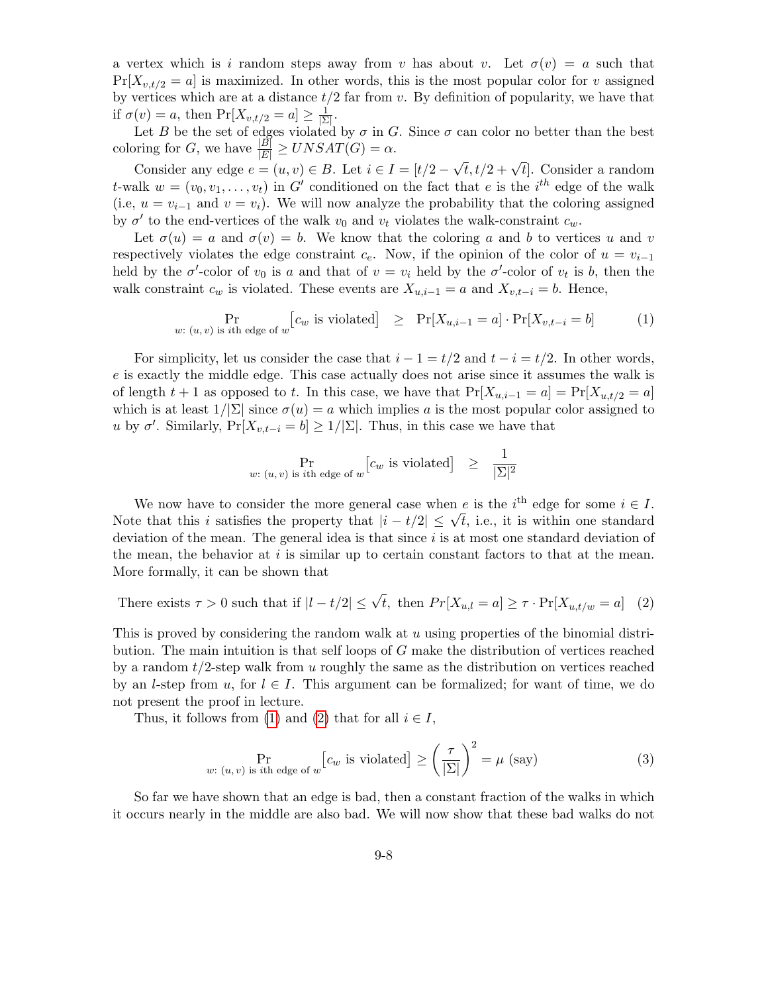a vertex which is i random steps away from v has about v. Let  $\sigma(v) = a$  such that  $Pr[X_{v,t/2} = a]$  is maximized. In other words, this is the most popular color for v assigned by vertices which are at a distance  $t/2$  far from v. By definition of popularity, we have that if  $\sigma(v) = a$ , then  $\Pr[X_{v,t/2} = a] \ge \frac{1}{\sum_{n=1}^{\infty} a_n}$  $\frac{1}{|\Sigma|}$ .

Let B be the set of edges violated by  $\sigma$  in G. Since  $\sigma$  can color no better than the best coloring for G, we have  $\frac{|B|}{|E|} \geq UNSAT(G) = \alpha$ .

Consider any edge  $e = (u, v) \in B$ . Let  $i \in I = [t/2 - \sqrt{t}, t/2 + \sqrt{t}]$ . Consider a random t-walk  $w = (v_0, v_1, \ldots, v_t)$  in G' conditioned on the fact that e is the i<sup>th</sup> edge of the walk (i.e,  $u = v_{i-1}$  and  $v = v_i$ ). We will now analyze the probability that the coloring assigned by  $\sigma'$  to the end-vertices of the walk  $v_0$  and  $v_t$  violates the walk-constraint  $c_w$ .

Let  $\sigma(u) = a$  and  $\sigma(v) = b$ . We know that the coloring a and b to vertices u and v respectively violates the edge constraint  $c_e$ . Now, if the opinion of the color of  $u = v_{i-1}$ held by the  $\sigma'$ -color of  $v_0$  is a and that of  $v = v_i$  held by the  $\sigma'$ -color of  $v_t$  is b, then the walk constraint  $c_w$  is violated. These events are  $X_{u,i-1} = a$  and  $X_{v,t-i} = b$ . Hence,

<span id="page-7-0"></span>
$$
\Pr_{w: (u, v) \text{ is } i\text{th edge of } w} [c_w \text{ is violated}] \ge \Pr[X_{u,i-1} = a] \cdot \Pr[X_{v,t-i} = b] \tag{1}
$$

For simplicity, let us consider the case that  $i - 1 = t/2$  and  $t - i = t/2$ . In other words, e is exactly the middle edge. This case actually does not arise since it assumes the walk is of length  $t + 1$  as opposed to t. In this case, we have that  $Pr[X_{u,i-1} = a] = Pr[X_{u,t/2} = a]$ which is at least  $1/|\Sigma|$  since  $\sigma(u) = a$  which implies a is the most popular color assigned to u by  $\sigma'$ . Similarly,  $Pr[X_{v,t-i} = b] \ge 1/|\Sigma|$ . Thus, in this case we have that

$$
\Pr_{w: (u, v) \text{ is } i\text{th edge of } w} [c_w \text{ is violated}] \geq \frac{1}{|\Sigma|^2}
$$

We now have to consider the more general case when e is the  $i^{\text{th}}$  edge for some  $i \in I$ . We now have to consider the more general case when e is the  $i$  edge for some  $i \in I$ .<br>Note that this i satisfies the property that  $|i - t/2| \leq \sqrt{t}$ , i.e., it is within one standard deviation of the mean. The general idea is that since  $i$  is at most one standard deviation of the mean, the behavior at  $i$  is similar up to certain constant factors to that at the mean. More formally, it can be shown that

There exists 
$$
\tau > 0
$$
 such that if  $|l - t/2| \le \sqrt{t}$ , then  $Pr[X_{u,l} = a] \ge \tau \cdot Pr[X_{u,t/w} = a]$  (2)

<span id="page-7-1"></span>This is proved by considering the random walk at  $u$  using properties of the binomial distribution. The main intuition is that self loops of G make the distribution of vertices reached by a random  $t/2$ -step walk from  $u$  roughly the same as the distribution on vertices reached by an l-step from u, for  $l \in I$ . This argument can be formalized; for want of time, we do not present the proof in lecture.

Thus, it follows from [\(1\)](#page-7-0) and [\(2\)](#page-7-1) that for all  $i \in I$ ,

<span id="page-7-2"></span>
$$
\Pr_{w: (u, v) \text{ is } i\text{th edge of } w} [c_w \text{ is violated}] \ge \left(\frac{\tau}{|\Sigma|}\right)^2 = \mu \text{ (say)}
$$
 (3)

So far we have shown that an edge is bad, then a constant fraction of the walks in which it occurs nearly in the middle are also bad. We will now show that these bad walks do not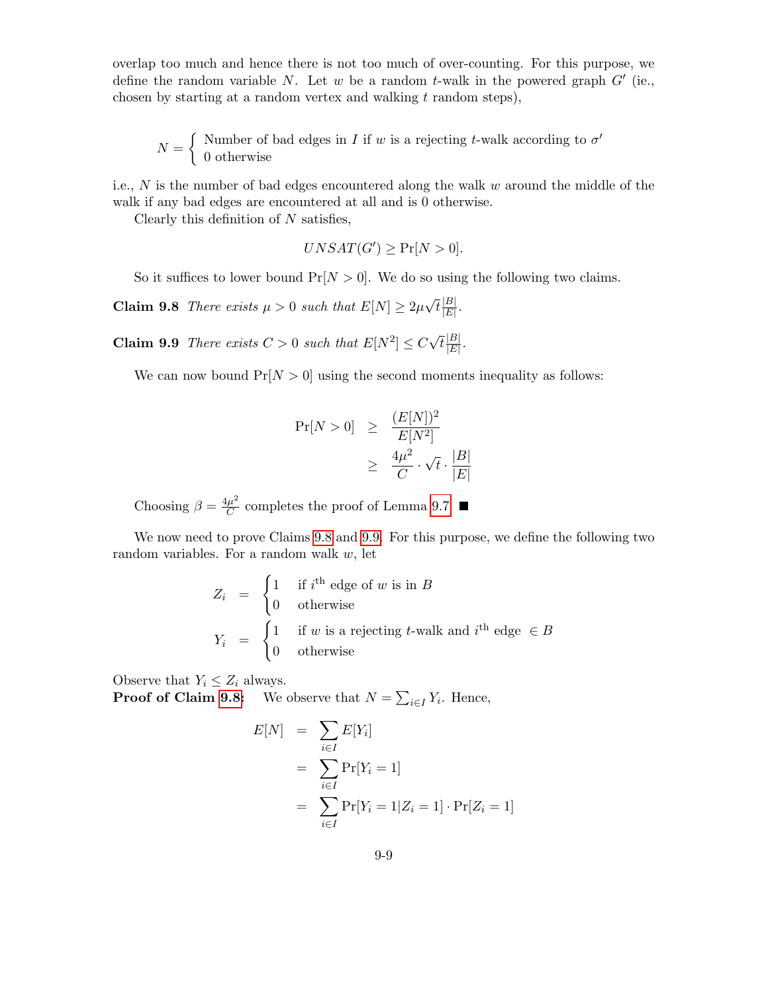overlap too much and hence there is not too much of over-counting. For this purpose, we define the random variable N. Let w be a random t-walk in the powered graph  $G'$  (ie., chosen by starting at a random vertex and walking  $t$  random steps),

$$
N = \begin{cases} \text{ Number of bad edges in } I \text{ if } w \text{ is a rejecting } t\text{-walk according to } \sigma' \\ 0 \text{ otherwise} \end{cases}
$$

i.e.,  $N$  is the number of bad edges encountered along the walk w around the middle of the walk if any bad edges are encountered at all and is 0 otherwise.

Clearly this definition of  $N$  satisfies,

<span id="page-8-0"></span>
$$
UNSAT(G') \ge \Pr[N > 0].
$$

So it suffices to lower bound  $Pr[N > 0]$ . We do so using the following two claims.

**Claim 9.8** There exists  $\mu > 0$  such that  $E[N] \geq 2\mu$ √  $\overline{t}\frac{|B|}{|E|}$  $\frac{|B|}{|E|}$ .

<span id="page-8-1"></span>**Claim 9.9** There exists  $C > 0$  such that  $E[N^2] \leq C$ √  $\overline{t}\frac{|B|}{|E|}$  $\frac{|D|}{|E|}$  .

We can now bound  $Pr[N > 0]$  using the second moments inequality as follows:

$$
Pr[N > 0] \ge \frac{(E[N])^2}{E[N^2]}
$$
  

$$
\ge \frac{4\mu^2}{C} \cdot \sqrt{t} \cdot \frac{|B|}{|E|}
$$

Choosing  $\beta = \frac{4\mu^2}{C}$  $\frac{\mu^2}{C}$  completes the proof of Lemma [9.7.](#page-6-0)

We now need to prove Claims [9.8](#page-8-0) and [9.9.](#page-8-1) For this purpose, we define the following two random variables. For a random walk  $w$ , let

$$
Z_i = \begin{cases} 1 & \text{if } i^{\text{th}} \text{ edge of } w \text{ is in } B \\ 0 & \text{otherwise} \end{cases}
$$
  

$$
Y_i = \begin{cases} 1 & \text{if } w \text{ is a rejecting } t\text{-walk and } i^{\text{th}} \text{ edge } \in B \\ 0 & \text{otherwise} \end{cases}
$$

Observe that  $Y_i \leq Z_i$  always. **Proof of Claim [9.8:](#page-8-0)** We observe that  $N = \sum_{i \in I} Y_i$ . Hence,

$$
E[N] = \sum_{i \in I} E[Y_i]
$$
  
= 
$$
\sum_{i \in I} \Pr[Y_i = 1]
$$
  
= 
$$
\sum_{i \in I} \Pr[Y_i = 1 | Z_i = 1] \cdot \Pr[Z_i = 1]
$$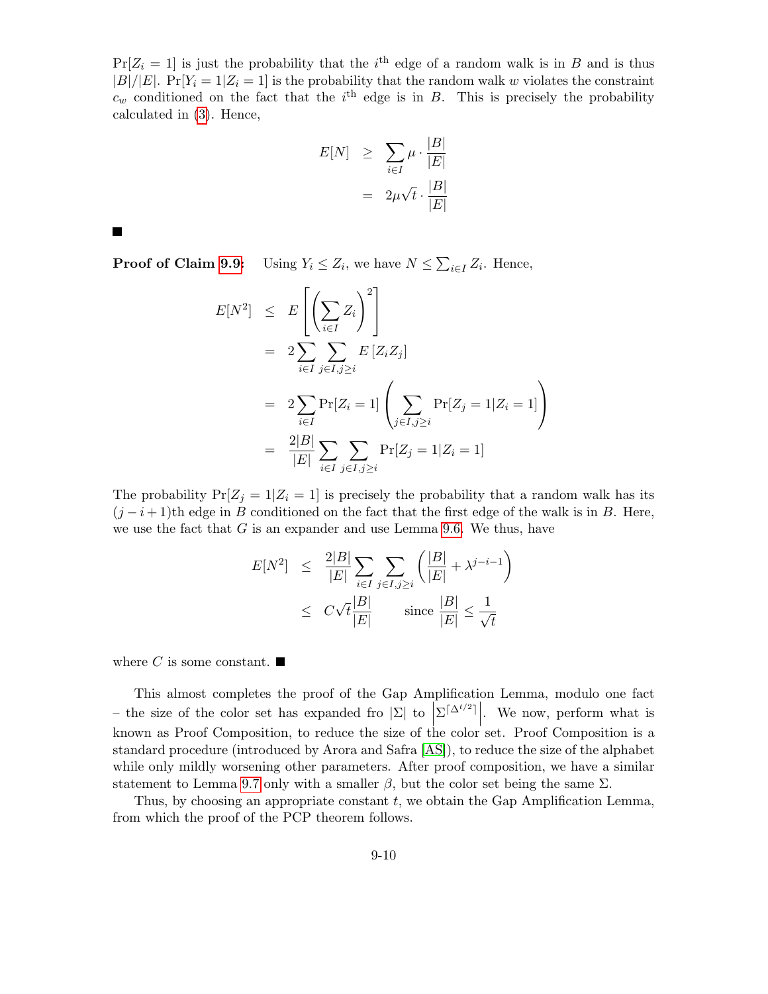$Pr[Z_i = 1]$  is just the probability that the i<sup>th</sup> edge of a random walk is in B and is thus  $|B|/|E|$ .  $Pr[Y_i = 1 | Z_i = 1]$  is the probability that the random walk w violates the constraint  $c_w$  conditioned on the fact that the i<sup>th</sup> edge is in B. This is precisely the probability calculated in [\(3\)](#page-7-2). Hence,

$$
E[N] \geq \sum_{i \in I} \mu \cdot \frac{|B|}{|E|}
$$

$$
= 2\mu\sqrt{t} \cdot \frac{|B|}{|E|}
$$

 $\blacksquare$ 

**Proof of Claim [9.9:](#page-8-1)** Using  $Y_i \leq Z_i$ , we have  $N \leq \sum_{i \in I} Z_i$ . Hence,

$$
E[N^2] \leq E\left[\left(\sum_{i\in I} Z_i\right)^2\right]
$$
  
=  $2\sum_{i\in I} \sum_{j\in I, j\geq i} E\left[Z_i Z_j\right]$   
=  $2\sum_{i\in I} \Pr[Z_i = 1] \left(\sum_{j\in I, j\geq i} \Pr[Z_j = 1 | Z_i = 1]\right)$   
=  $\frac{2|B|}{|E|} \sum_{i\in I} \sum_{j\in I, j\geq i} \Pr[Z_j = 1 | Z_i = 1]$ 

The probability  $Pr[Z_j = 1 | Z_i = 1]$  is precisely the probability that a random walk has its  $(j - i + 1)$ th edge in B conditioned on the fact that the first edge of the walk is in B. Here, we use the fact that  $G$  is an expander and use Lemma [9.6.](#page-2-1) We thus, have

$$
E[N^2] \leq \frac{2|B|}{|E|} \sum_{i \in I} \sum_{j \in I, j \geq i} \left( \frac{|B|}{|E|} + \lambda^{j-i-1} \right)
$$
  

$$
\leq C\sqrt{t} \frac{|B|}{|E|} \qquad \text{since } \frac{|B|}{|E|} \leq \frac{1}{\sqrt{t}}
$$

where C is some constant.  $\blacksquare$ 

This almost completes the proof of the Gap Amplification Lemma, modulo one fact – the size of the color set has expanded fro  $|\Sigma|$  to  $|\Sigma|^{\Delta^{t/2}}|$ . We now, perform what is known as Proof Composition, to reduce the size of the color set. Proof Composition is a standard procedure (introduced by Arora and Safra [\[AS\]](#page-10-2)), to reduce the size of the alphabet while only mildly worsening other parameters. After proof composition, we have a similar statement to Lemma [9.7](#page-6-0) only with a smaller  $\beta$ , but the color set being the same  $\Sigma$ .

Thus, by choosing an appropriate constant  $t$ , we obtain the Gap Amplification Lemma, from which the proof of the PCP theorem follows.